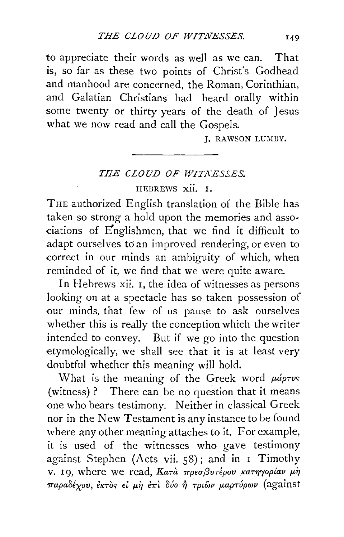to appreciate their words as well as we can. That is, so far as these two points of Christ's Godhead and manhood are concerned, the Roman, Corinthian, and Galatian Christians had heard orally within some twenty or thirty years of the death of Jesus what we now read and call the Gospels.

L. RAWSON LUMBY.

## **THE CLOUD OF WITNESSES.**

HEBREWS xii. I.

TnE authorized English translation of the Bible has taken so strong a hold upon the memories and associations of Englishmen, that we find it difficult to adapt ourselves to an improved rendering, or even to correct in our minds an ambiguity of which, when reminded of it, we find that we were quite aware.

In Hebrews xii. I, the idea of witnesses as persons looking on at a spectacle has so taken possession of our minds, that few of us pause to ask ourselves whether this is really the conception which the writer intended to convey. But if we go into the question etymologically, we shall see that it is at least very doubtful whether this meaning will hold.

What is the meaning of the Greek word  $\mu$ *áptvs* (witness) ? There can be no question that it means one who bears testimony. Neither in classical Greek nor in the New Testament is any instance to be found where any other meaning attaches to it. For example, it is used of the witnesses who gave testimony against Stephen (Acts vii. 58); and in I Timothy v. 19, where we read, Κατά πρεσβυτέρου κατηγορίαν μή  $\pi$ αραδέχου, έκτὸς εί μὴ ἐπὶ δύο ή τριῶν μαρτύρων (against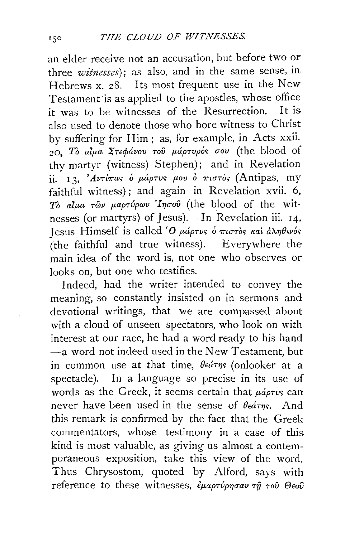an elder receive not an accusation, but before two or three *witnesses);* as also, and in the same sense, in Hebrews x. 28. Its most frequent use in the New Testament is as applied to the apostles, whose office it was to be witnesses of the Resurrection. It is also used to denote those who bore witness to Christ by suffering for Him; as, for example, in Acts xxii.  $2Q$ , Τὸ αίμα Στεφάνου τοῦ μάρτυρός σου (the blood of thy martyr (witness) Stephen); and in Revelation ii. 13,  $Avrt$ inas o  $\mu$ áptus  $\mu$ ov o  $\pi$ ιστός (Antipas, my faithful witness); and again in Revelation xvii. 6, To alua  $\tau$ ών μαρτύρων 'Iησού (the blood of the witnesses (or martyrs) of Jesus).  $\cdot$  In Revelation iii. 14. Jesus Himself is called 'O  $\mu$ *áptvs o mutros kal a* $\lambda \eta \theta$ *wos* (the faithful and true witness). Everywhere the main idea of the word is, not one who observes or looks on, but one who testifies.

Indeed, had the writer intended to convey the meaning, so constantly insisted on in sermons and devotional writings, that we are compassed about with a cloud of unseen spectators, who look on with interest at our race, he had a word ready to his hand  $-a$  word not indeed used in the New Testament, but in common use at that time,  $\theta \in \theta$  (onlooker at a spectacle). In a language so precise in its use of words as the Greek, it seems certain that  $\mu\acute{a} \rho\tau\nu s$  can never have been used in the sense of  $\theta \epsilon \hat{\alpha}$ rng. And this remark is confirmed by the fact that the Greek commentators, whose testimony in a case of this kind is most valuable, as giving us almost a contemporaneous exposition, take this view of the word. Thus Chrysostom, quoted by Alford, says with reference to these witnesses,  $\epsilon_{\mu\alpha\rho\tau\nu\rho\eta\sigma\alpha\nu}$   $\tau\eta$   $\tau$ ov  $\Theta$ eov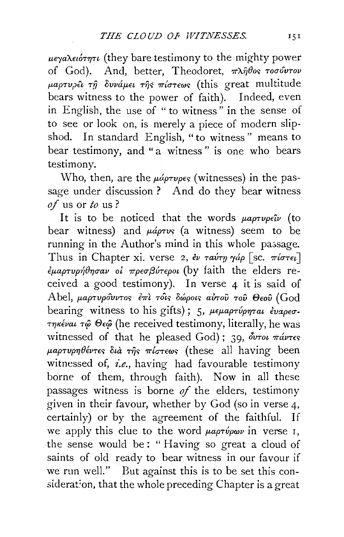μεγαλειότητι (they bare testimony to the mighty power of God). And, better, Theodoret,  $\pi \lambda \hat{\theta}$ os  $\tau$ o $\sigma \hat{\theta}$ urov  $\mu$ aprupei  $\tau$ ỹ δυνάμει  $\tau$ ης πίστεως (this great multitude bears witness to the power of faith). Indeed, even in English, the use of "to witness" in the sense of to see or look on, is merely a piece of modern slipshod. In standard English, "to witness" means to bear testimony, and "a witness" is one who bears testimony.

Who, then, are the  $\mu\acute{\omega}\rho\tau\nu\rho\epsilon\varsigma$  (witnesses) in the passage under discussion? And do they bear witness of us or to us?

It is to be noticed that the words  $\mu a \rho \tau \nu \rho \epsilon \hat{\imath} \nu$  (to bear witness) and  $\mu$ *áprvs* (a witness) seem to be running in the Author's mind in this whole passage. Thus in Chapter xi. verse 2, εν ταύτη γάρ [sc. πίστει]  $\epsilon$ μαρτυρήθησαν οι πρεσβύτεροι (by faith the elders received a good testimony). In verse  $4$  it is said of Abel, μαρτυρόυντος έπι τοις δώροις αύτου του Θεού (God bearing witness to his gifts); 5, μεμαρτύρηται έναρεστηκέναι τώ Θεώ (he received testimony, literally, he was witnessed of that he pleased God); 39,  $\delta$ vrou  $\pi \Delta \nu \tau \epsilon s$  $\mu$ αρτυρηθέντες διά της πίστεως (these all having been witnessed of, *i.e.*, having had favourable testimony borne of them, through faith). Now in all these passages witness is borne  $of$  the elders, testimony given in their favour, whether by God (so in verse 4, certainly) or by the agreement of the faithful. If we apply this clue to the word  $\mu a \rho \tau \psi \rho \omega \nu$  in verse 1, the sense would be: "Having so great a cloud of saints of old ready to bear witness in our favour if we run well." But against this is to be set this consideration, that the whole preceding Chapter is a great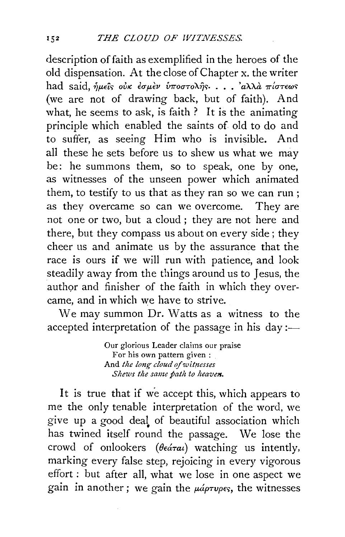description of faith as exemplified in the heroes of the old dispensation. At the close of Chapter x. the writer had said, *ήμεῖς οὐκ ἐσμὲν ὑποστολῆς*: . . 'αλλά πίστεως (we are not of drawing back, but of faith). And what, he seems to ask, is faith? It is the animating principle which enabled the saints of old to do and to suffer, as seeing Him who is invisible. And all these he sets before us to shew us what we may be: he summons them, so to speak, one by one, as witnesses of the unseen power which animated them, to testify to us that as they ran so we can run ; as they overcame so can we overcome. They are not one or two, but a cloud ; they are not here and there, but they compass us about on every side; they cheer us and animate us by the assurance that the race is ours if we will run with patience, and look steadily away from the things around us to Jesus, the author and finisher of the faith in which they overcame, and in which we have to strive.

We may summon Dr. Watts as a witness to the accepted interpretation of the passage in his day:—

> Our glorious Leader claims our praise For his own pattern given : And *the long cloud of witnesses Shews the same path to heaven.*

It is true that if we accept this, which appears to me the only tenable interpretation of the word, we give up a good deal of beautiful association which has twined itself round the passage. We lose the crowd of onlookers *(* $\theta \in \hat{\alpha}$ *rai)* watching us intently, marking every false step, rejoicing in every vigorous effort : but after all, what we lose in one aspect we gain in another; we gain the  $\mu$ *áptupes*, the witnesses